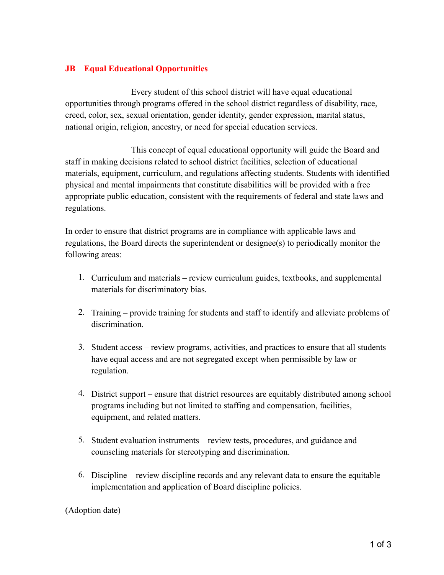## **JB Equal Educational Opportunities**

Every student of this school district will have equal educational opportunities through programs offered in the school district regardless of disability, race, creed, color, sex, sexual orientation, gender identity, gender expression, marital status, national origin, religion, ancestry, or need for special education services.

This concept of equal educational opportunity will guide the Board and staff in making decisions related to school district facilities, selection of educational materials, equipment, curriculum, and regulations affecting students. Students with identified physical and mental impairments that constitute disabilities will be provided with a free appropriate public education, consistent with the requirements of federal and state laws and regulations.

In order to ensure that district programs are in compliance with applicable laws and regulations, the Board directs the superintendent or designee(s) to periodically monitor the following areas:

- 1. Curriculum and materials review curriculum guides, textbooks, and supplemental materials for discriminatory bias.
- 2. Training provide training for students and staff to identify and alleviate problems of discrimination.
- 3. Student access review programs, activities, and practices to ensure that all students have equal access and are not segregated except when permissible by law or regulation.
- 4. District support ensure that district resources are equitably distributed among school programs including but not limited to staffing and compensation, facilities, equipment, and related matters.
- 5. Student evaluation instruments review tests, procedures, and guidance and counseling materials for stereotyping and discrimination.
- 6. Discipline review discipline records and any relevant data to ensure the equitable implementation and application of Board discipline policies.

(Adoption date)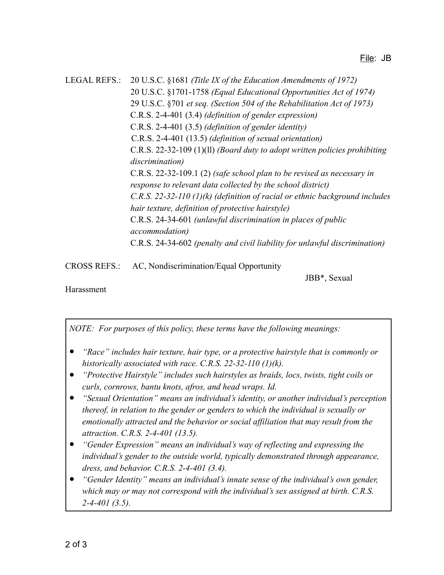LEGAL REFS.: 20 U.S.C. §1681 *(Title IX of the Education Amendments of 1972)* 20 U.S.C. §1701-1758 *(Equal Educational Opportunities Act of 1974)* 29 U.S.C. §701 *et seq. (Section 504 of the Rehabilitation Act of 1973)* C.R.S. 2-4-401 (3.4) *(definition of gender expression)* C.R.S. 2-4-401 (3.5) *(definition of gender identity)* C.R.S. 2-4-401 (13.5) *(definition of sexual orientation)* C.R.S. 22-32-109 (1)(ll) *(Board duty to adopt written policies prohibiting discrimination)* C.R.S. 22-32-109.1 (2) *(safe school plan to be revised as necessary in response to relevant data collected by the school district) C.R.S. 22-32-110 (1)(k) (definition of racial or ethnic background includes hair texture, definition of protective hairstyle)* C.R.S. 24-34-601 *(unlawful discrimination in places of public accommodation)* C.R.S. 24-34-602 *(penalty and civil liability for unlawful discrimination)*

CROSS REFS.: AC, Nondiscrimination/Equal Opportunity

JBB\*, Sexual

Harassment

*NOTE: For purposes of this policy, these terms have the following meanings:*

- *"Race" includes hair texture, hair type, or a protective hairstyle that is commonly or historically associated with race. C.R.S. 22-32-110 (1)(k).*
- *"Protective Hairstyle" includes such hairstyles as braids, locs, twists, tight coils or curls, cornrows, bantu knots, afros, and head wraps. Id.*
- *"Sexual Orientation" means an individual's identity, or another individual's perception thereof, in relation to the gender or genders to which the individual is sexually or emotionally attracted and the behavior or social affiliation that may result from the attraction. C.R.S. 2-4-401 (13.5).*
- *"Gender Expression" means an individual's way of reflecting and expressing the individual's gender to the outside world, typically demonstrated through appearance, dress, and behavior. C.R.S. 2-4-401 (3.4).*
- *"Gender Identity" means an individual's innate sense of the individual's own gender, which may or may not correspond with the individual's sex assigned at birth. C.R.S. 2-4-401 (3.5).*